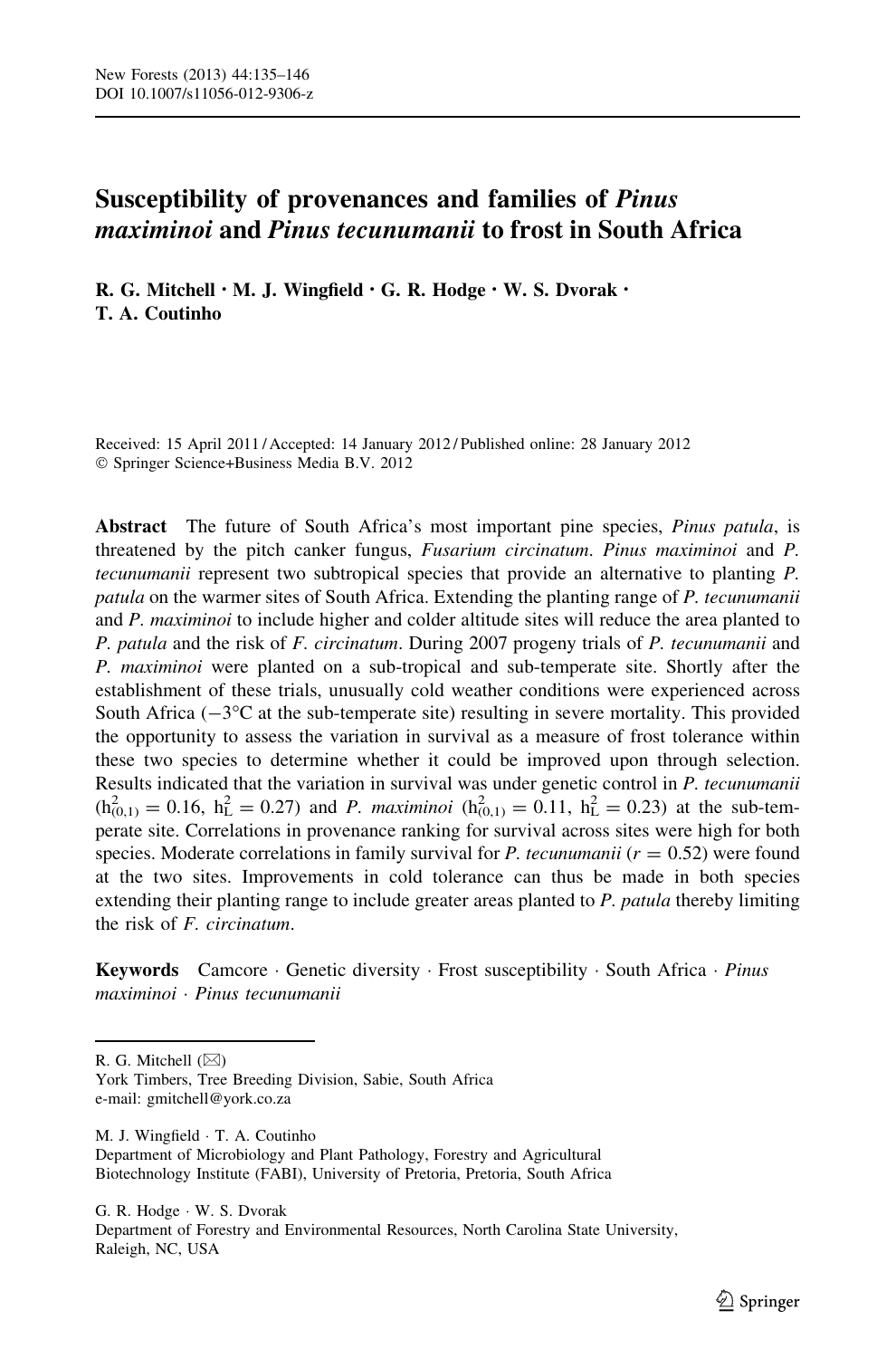# Susceptibility of provenances and families of Pinus maximinoi and Pinus tecunumanii to frost in South Africa

R. G. Mitchell • M. J. Wingfield • G. R. Hodge • W. S. Dvorak • T. A. Coutinho

Received: 15 April 2011 / Accepted: 14 January 2012 / Published online: 28 January 2012 - Springer Science+Business Media B.V. 2012

Abstract The future of South Africa's most important pine species, *Pinus patula*, is threatened by the pitch canker fungus, Fusarium circinatum. Pinus maximinoi and P. tecunumanii represent two subtropical species that provide an alternative to planting P. patula on the warmer sites of South Africa. Extending the planting range of P. tecunumanii and P. maximinoi to include higher and colder altitude sites will reduce the area planted to P. patula and the risk of F. circinatum. During 2007 progeny trials of P. tecunumanii and P. maximinoi were planted on a sub-tropical and sub-temperate site. Shortly after the establishment of these trials, unusually cold weather conditions were experienced across South Africa  $(-3^{\circ}C$  at the sub-temperate site) resulting in severe mortality. This provided the opportunity to assess the variation in survival as a measure of frost tolerance within these two species to determine whether it could be improved upon through selection. Results indicated that the variation in survival was under genetic control in P. tecunumanii  $(h_{(0,1)}^2 = 0.16, h_L^2 = 0.27)$  and *P. maximinoi*  $(h_{(0,1)}^2 = 0.11, h_L^2 = 0.23)$  at the sub-temperate site. Correlations in provenance ranking for survival across sites were high for both species. Moderate correlations in family survival for P. tecunumanii ( $r = 0.52$ ) were found at the two sites. Improvements in cold tolerance can thus be made in both species extending their planting range to include greater areas planted to  $P$ , *patula* thereby limiting the risk of F. circinatum.

Keywords Camcore · Genetic diversity · Frost susceptibility · South Africa · Pinus maximinoi - Pinus tecunumanii

R. G. Mitchell  $(\boxtimes)$ 

York Timbers, Tree Breeding Division, Sabie, South Africa e-mail: gmitchell@york.co.za

M. J. Wingfield · T. A. Coutinho Department of Microbiology and Plant Pathology, Forestry and Agricultural Biotechnology Institute (FABI), University of Pretoria, Pretoria, South Africa

G. R. Hodge - W. S. Dvorak Department of Forestry and Environmental Resources, North Carolina State University, Raleigh, NC, USA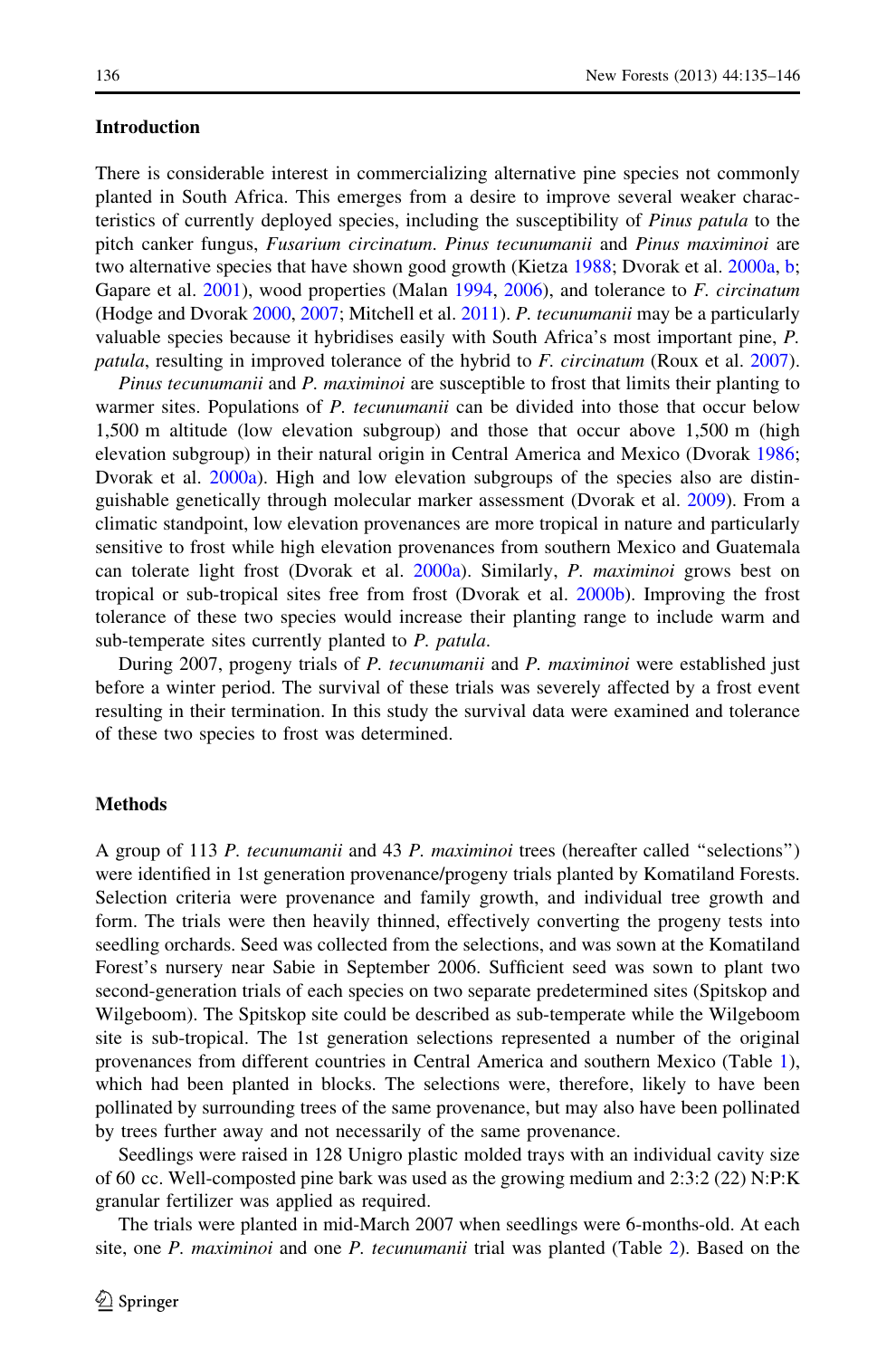There is considerable interest in commercializing alternative pine species not commonly planted in South Africa. This emerges from a desire to improve several weaker characteristics of currently deployed species, including the susceptibility of Pinus patula to the pitch canker fungus, Fusarium circinatum. Pinus tecunumanii and Pinus maximinoi are two alternative species that have shown good growth (Kietza [1988](#page-11-0); Dvorak et al. [2000a](#page-10-0), [b;](#page-10-0) Gapare et al.  $2001$ ), wood properties (Malan [1994,](#page-11-0) [2006](#page-11-0)), and tolerance to *F. circinatum* (Hodge and Dvorak [2000,](#page-11-0) [2007](#page-11-0); Mitchell et al. [2011](#page-11-0)). P. tecunumanii may be a particularly valuable species because it hybridises easily with South Africa's most important pine, P. patula, resulting in improved tolerance of the hybrid to F. circinatum (Roux et al. [2007](#page-11-0)).

Pinus tecunumanii and P. maximinoi are susceptible to frost that limits their planting to warmer sites. Populations of P. tecunumanii can be divided into those that occur below 1,500 m altitude (low elevation subgroup) and those that occur above 1,500 m (high elevation subgroup) in their natural origin in Central America and Mexico (Dvorak [1986;](#page-10-0) Dvorak et al. [2000a](#page-10-0)). High and low elevation subgroups of the species also are distinguishable genetically through molecular marker assessment (Dvorak et al. [2009](#page-10-0)). From a climatic standpoint, low elevation provenances are more tropical in nature and particularly sensitive to frost while high elevation provenances from southern Mexico and Guatemala can tolerate light frost (Dvorak et al. [2000a](#page-10-0)). Similarly, P. maximinoi grows best on tropical or sub-tropical sites free from frost (Dvorak et al. [2000b](#page-10-0)). Improving the frost tolerance of these two species would increase their planting range to include warm and sub-temperate sites currently planted to P. patula.

During 2007, progeny trials of P. tecunumanii and P. maximinoi were established just before a winter period. The survival of these trials was severely affected by a frost event resulting in their termination. In this study the survival data were examined and tolerance of these two species to frost was determined.

#### Methods

A group of 113 P. tecunumanii and 43 P. maximinoi trees (hereafter called ''selections'') were identified in 1st generation provenance/progeny trials planted by Komatiland Forests. Selection criteria were provenance and family growth, and individual tree growth and form. The trials were then heavily thinned, effectively converting the progeny tests into seedling orchards. Seed was collected from the selections, and was sown at the Komatiland Forest's nursery near Sabie in September 2006. Sufficient seed was sown to plant two second-generation trials of each species on two separate predetermined sites (Spitskop and Wilgeboom). The Spitskop site could be described as sub-temperate while the Wilgeboom site is sub-tropical. The 1st generation selections represented a number of the original provenances from different countries in Central America and southern Mexico (Table [1](#page-2-0)), which had been planted in blocks. The selections were, therefore, likely to have been pollinated by surrounding trees of the same provenance, but may also have been pollinated by trees further away and not necessarily of the same provenance.

Seedlings were raised in 128 Unigro plastic molded trays with an individual cavity size of 60 cc. Well-composted pine bark was used as the growing medium and 2:3:2 (22) N:P:K granular fertilizer was applied as required.

The trials were planted in mid-March 2007 when seedlings were 6-months-old. At each site, one P. maximinoi and one P. tecunumanii trial was planted (Table [2](#page-3-0)). Based on the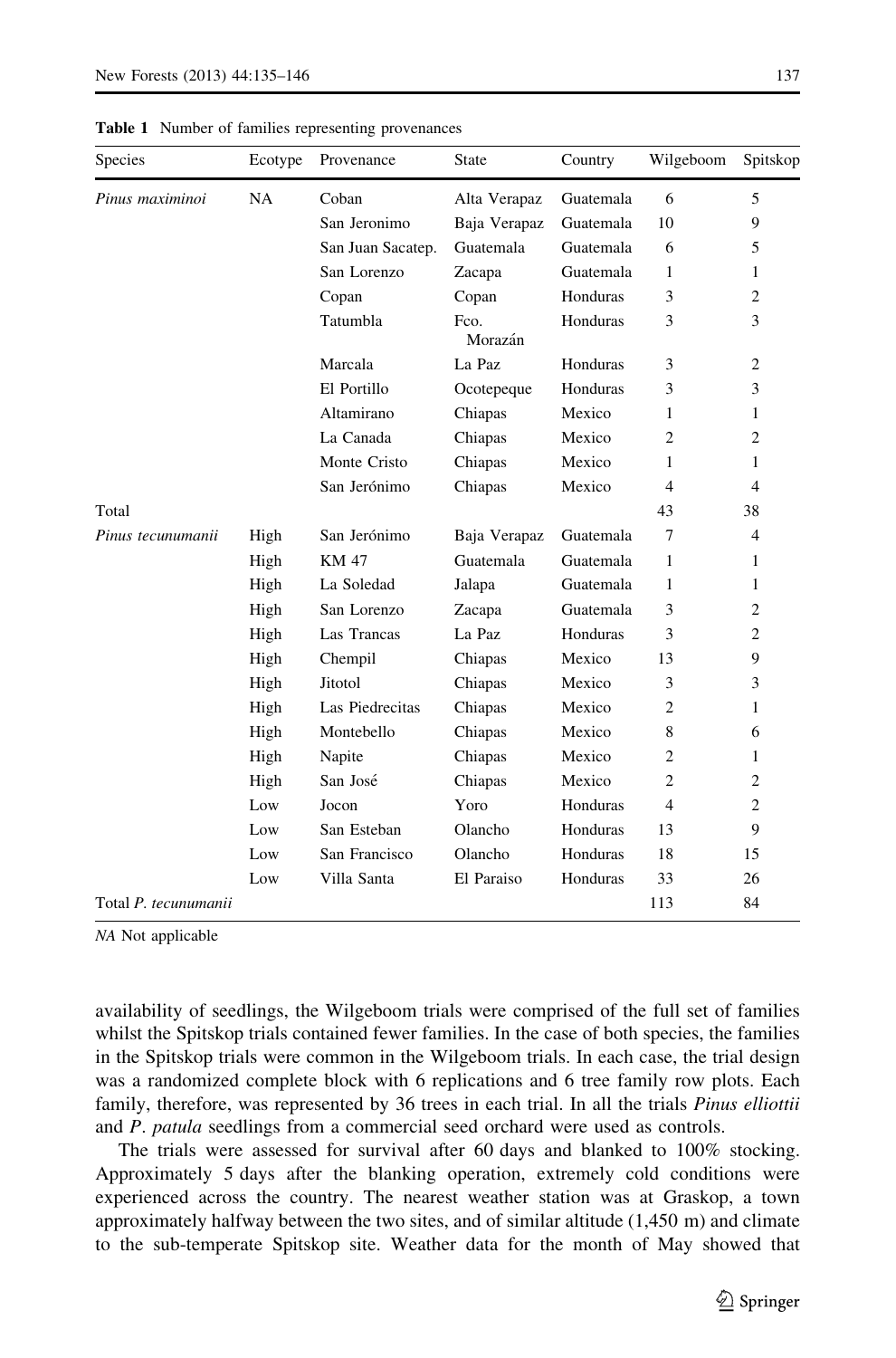| Species              | Ecotype   | Provenance        | State           | Country   | Wilgeboom      | Spitskop       |
|----------------------|-----------|-------------------|-----------------|-----------|----------------|----------------|
| Pinus maximinoi      | <b>NA</b> | Coban             | Alta Verapaz    | Guatemala | 6              | 5              |
|                      |           | San Jeronimo      | Baja Verapaz    | Guatemala | 10             | 9              |
|                      |           | San Juan Sacatep. | Guatemala       | Guatemala | 6              | 5              |
|                      |           | San Lorenzo       | Zacapa          | Guatemala | 1              | 1              |
|                      |           | Copan             | Copan           | Honduras  | 3              | $\overline{c}$ |
|                      |           | Tatumbla          | Fco.<br>Morazán | Honduras  | 3              | 3              |
|                      |           | Marcala           | La Paz          | Honduras  | 3              | $\overline{c}$ |
|                      |           | El Portillo       | Ocotepeque      | Honduras  | 3              | 3              |
|                      |           | Altamirano        | Chiapas         | Mexico    | 1              | 1              |
|                      |           | La Canada         | Chiapas         | Mexico    | 2              | 2              |
|                      |           | Monte Cristo      | Chiapas         | Mexico    | 1              | 1              |
|                      |           | San Jerónimo      | Chiapas         | Mexico    | 4              | 4              |
| Total                |           |                   |                 |           | 43             | 38             |
| Pinus tecunumanii    | High      | San Jerónimo      | Baja Verapaz    | Guatemala | 7              | 4              |
|                      | High      | <b>KM47</b>       | Guatemala       | Guatemala | 1              | 1              |
|                      | High      | La Soledad        | Jalapa          | Guatemala | 1              | 1              |
|                      | High      | San Lorenzo       | Zacapa          | Guatemala | 3              | 2              |
|                      | High      | Las Trancas       | La Paz          | Honduras  | 3              | 2              |
|                      | High      | Chempil           | Chiapas         | Mexico    | 13             | 9              |
|                      | High      | Jitotol           | Chiapas         | Mexico    | 3              | 3              |
|                      | High      | Las Piedrecitas   | Chiapas         | Mexico    | 2              | 1              |
|                      | High      | Montebello        | Chiapas         | Mexico    | 8              | 6              |
|                      | High      | Napite            | Chiapas         | Mexico    | 2              | 1              |
|                      | High      | San José          | Chiapas         | Mexico    | 2              | 2              |
|                      | Low       | Jocon             | Yoro            | Honduras  | $\overline{4}$ | $\overline{c}$ |
|                      | Low       | San Esteban       | Olancho         | Honduras  | 13             | 9              |
|                      | Low       | San Francisco     | Olancho         | Honduras  | 18             | 15             |
|                      | Low       | Villa Santa       | El Paraiso      | Honduras  | 33             | 26             |
| Total P. tecunumanii |           |                   |                 |           | 113            | 84             |

<span id="page-2-0"></span>Table 1 Number of families representing provenances

NA Not applicable

availability of seedlings, the Wilgeboom trials were comprised of the full set of families whilst the Spitskop trials contained fewer families. In the case of both species, the families in the Spitskop trials were common in the Wilgeboom trials. In each case, the trial design was a randomized complete block with 6 replications and 6 tree family row plots. Each family, therefore, was represented by 36 trees in each trial. In all the trials *Pinus elliottii* and P. patula seedlings from a commercial seed orchard were used as controls.

The trials were assessed for survival after 60 days and blanked to 100% stocking. Approximately 5 days after the blanking operation, extremely cold conditions were experienced across the country. The nearest weather station was at Graskop, a town approximately halfway between the two sites, and of similar altitude (1,450 m) and climate to the sub-temperate Spitskop site. Weather data for the month of May showed that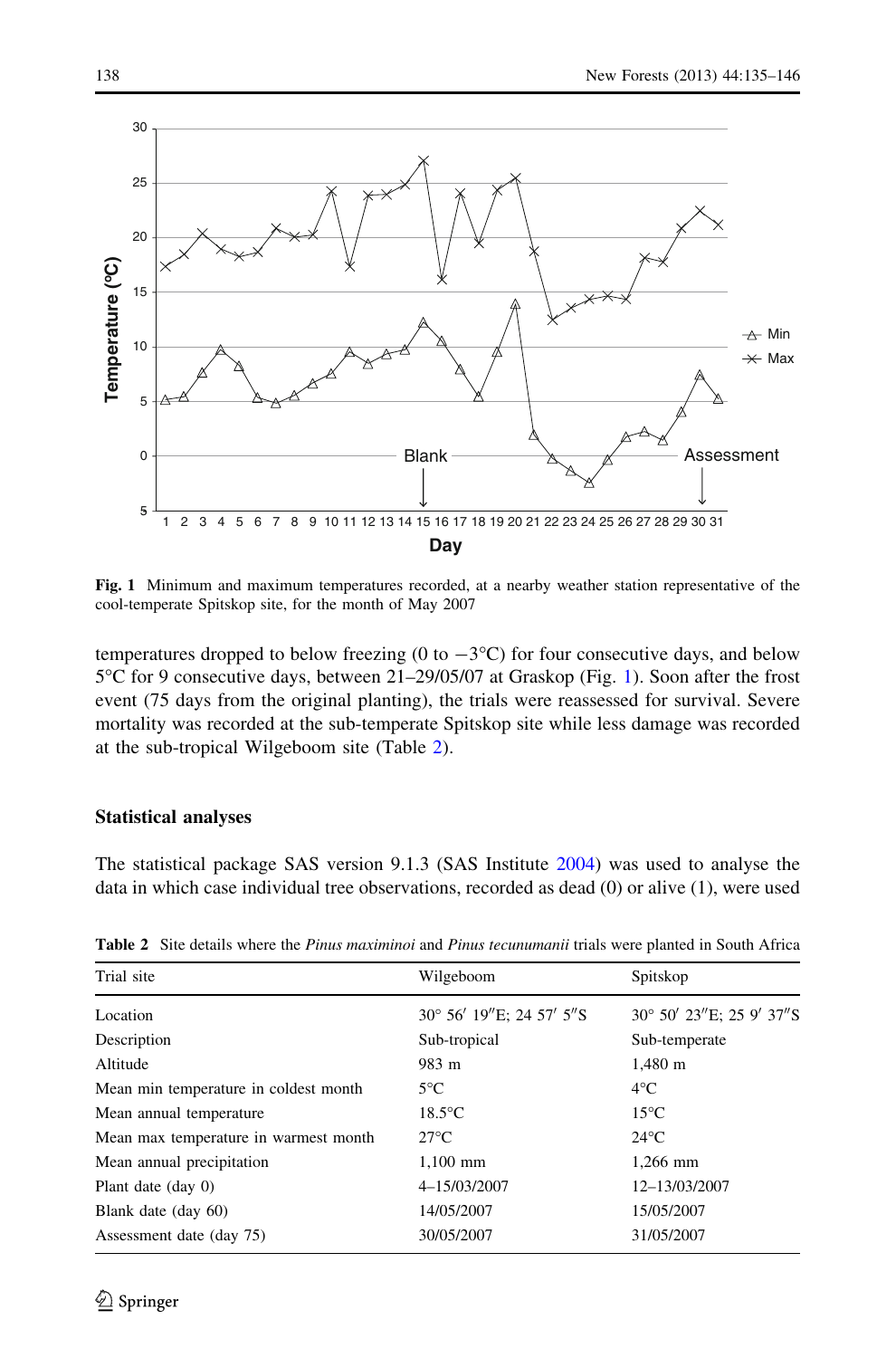<span id="page-3-0"></span>

Fig. 1 Minimum and maximum temperatures recorded, at a nearby weather station representative of the cool-temperate Spitskop site, for the month of May 2007

temperatures dropped to below freezing (0 to  $-3^{\circ}$ C) for four consecutive days, and below 5C for 9 consecutive days, between 21–29/05/07 at Graskop (Fig. 1). Soon after the frost event (75 days from the original planting), the trials were reassessed for survival. Severe mortality was recorded at the sub-temperate Spitskop site while less damage was recorded at the sub-tropical Wilgeboom site (Table 2).

## Statistical analyses

The statistical package SAS version 9.1.3 (SAS Institute [2004\)](#page-11-0) was used to analyse the data in which case individual tree observations, recorded as dead (0) or alive (1), were used

| Trial site                            | Wilgeboom                | Spitskop                 |
|---------------------------------------|--------------------------|--------------------------|
| Location                              | 30° 56′ 19″E; 24 57′ 5″S | 30° 50′ 23″E; 25 9′ 37″S |
| Description                           | Sub-tropical             | Sub-temperate            |
| Altitude                              | 983 m                    | 1,480 m                  |
| Mean min temperature in coldest month | $5^{\circ}$ C            | $4^{\circ}$ C            |
| Mean annual temperature               | $18.5^{\circ}$ C         | $15^{\circ}$ C           |
| Mean max temperature in warmest month | $27^{\circ}$ C           | $24^{\circ}$ C           |
| Mean annual precipitation             | $1,100$ mm               | 1,266 mm                 |
| Plant date $(\text{day } 0)$          | 4-15/03/2007             | 12-13/03/2007            |
| Blank date (day 60)                   | 14/05/2007               | 15/05/2007               |
| Assessment date (day 75)              | 30/05/2007               | 31/05/2007               |

Table 2 Site details where the *Pinus maximinoi* and *Pinus tecunumanii* trials were planted in South Africa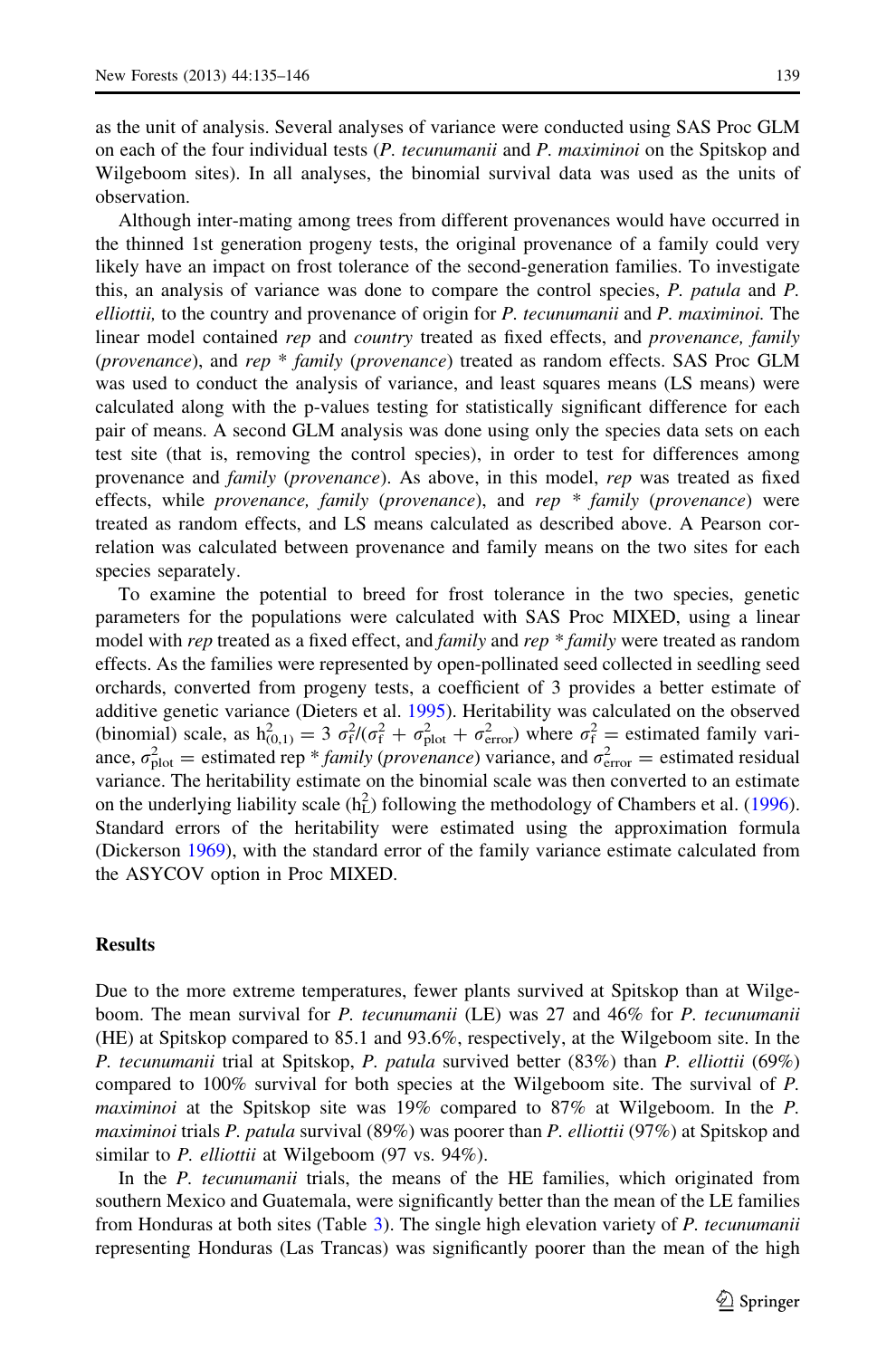as the unit of analysis. Several analyses of variance were conducted using SAS Proc GLM on each of the four individual tests (P. tecunumanii and P. maximinoi on the Spitskop and Wilgeboom sites). In all analyses, the binomial survival data was used as the units of observation.

Although inter-mating among trees from different provenances would have occurred in the thinned 1st generation progeny tests, the original provenance of a family could very likely have an impact on frost tolerance of the second-generation families. To investigate this, an analysis of variance was done to compare the control species, P. patula and P. elliottii, to the country and provenance of origin for P. tecunumanii and P. maximinoi. The linear model contained *rep* and *country* treated as fixed effects, and *provenance*, family (provenance), and rep \* family (provenance) treated as random effects. SAS Proc GLM was used to conduct the analysis of variance, and least squares means (LS means) were calculated along with the p-values testing for statistically significant difference for each pair of means. A second GLM analysis was done using only the species data sets on each test site (that is, removing the control species), in order to test for differences among provenance and family (provenance). As above, in this model, rep was treated as fixed effects, while *provenance*, *family* (*provenance*), and *rep*  $*$  *family* (*provenance*) were treated as random effects, and LS means calculated as described above. A Pearson correlation was calculated between provenance and family means on the two sites for each species separately.

To examine the potential to breed for frost tolerance in the two species, genetic parameters for the populations were calculated with SAS Proc MIXED, using a linear model with *rep* treated as a fixed effect, and *family* and *rep* \* *family* were treated as random effects. As the families were represented by open-pollinated seed collected in seedling seed orchards, converted from progeny tests, a coefficient of 3 provides a better estimate of additive genetic variance (Dieters et al. [1995\)](#page-10-0). Heritability was calculated on the observed (binomial) scale, as  $h_{(0,1)}^2 = 3 \sigma_f^2/(\sigma_f^2 + \sigma_{plot}^2 + \sigma_{error}^2)$  where  $\sigma_f^2$  = estimated family variance,  $\sigma_{\text{plot}}^2$  = estimated rep \* *family (provenance)* variance, and  $\sigma_{\text{error}}^2$  = estimated residual variance. The heritability estimate on the binomial scale was then converted to an estimate on the underlying liability scale  $(h<sub>L</sub><sup>2</sup>)$  following the methodology of Chambers et al. [\(1996](#page-10-0)). Standard errors of the heritability were estimated using the approximation formula (Dickerson [1969\)](#page-10-0), with the standard error of the family variance estimate calculated from the ASYCOV option in Proc MIXED.

#### **Results**

Due to the more extreme temperatures, fewer plants survived at Spitskop than at Wilgeboom. The mean survival for P. tecunumanii (LE) was 27 and 46% for P. tecunumanii (HE) at Spitskop compared to 85.1 and 93.6%, respectively, at the Wilgeboom site. In the P. tecunumanii trial at Spitskop, P. patula survived better (83%) than P. elliottii (69%) compared to 100% survival for both species at the Wilgeboom site. The survival of P. maximinoi at the Spitskop site was 19% compared to 87% at Wilgeboom. In the P. maximinoi trials P. patula survival (89%) was poorer than P. elliottii (97%) at Spitskop and similar to P. elliottii at Wilgeboom (97 vs. 94%).

In the P. tecunumanii trials, the means of the HE families, which originated from southern Mexico and Guatemala, were significantly better than the mean of the LE families from Honduras at both sites (Table [3](#page-5-0)). The single high elevation variety of P. tecunumanii representing Honduras (Las Trancas) was significantly poorer than the mean of the high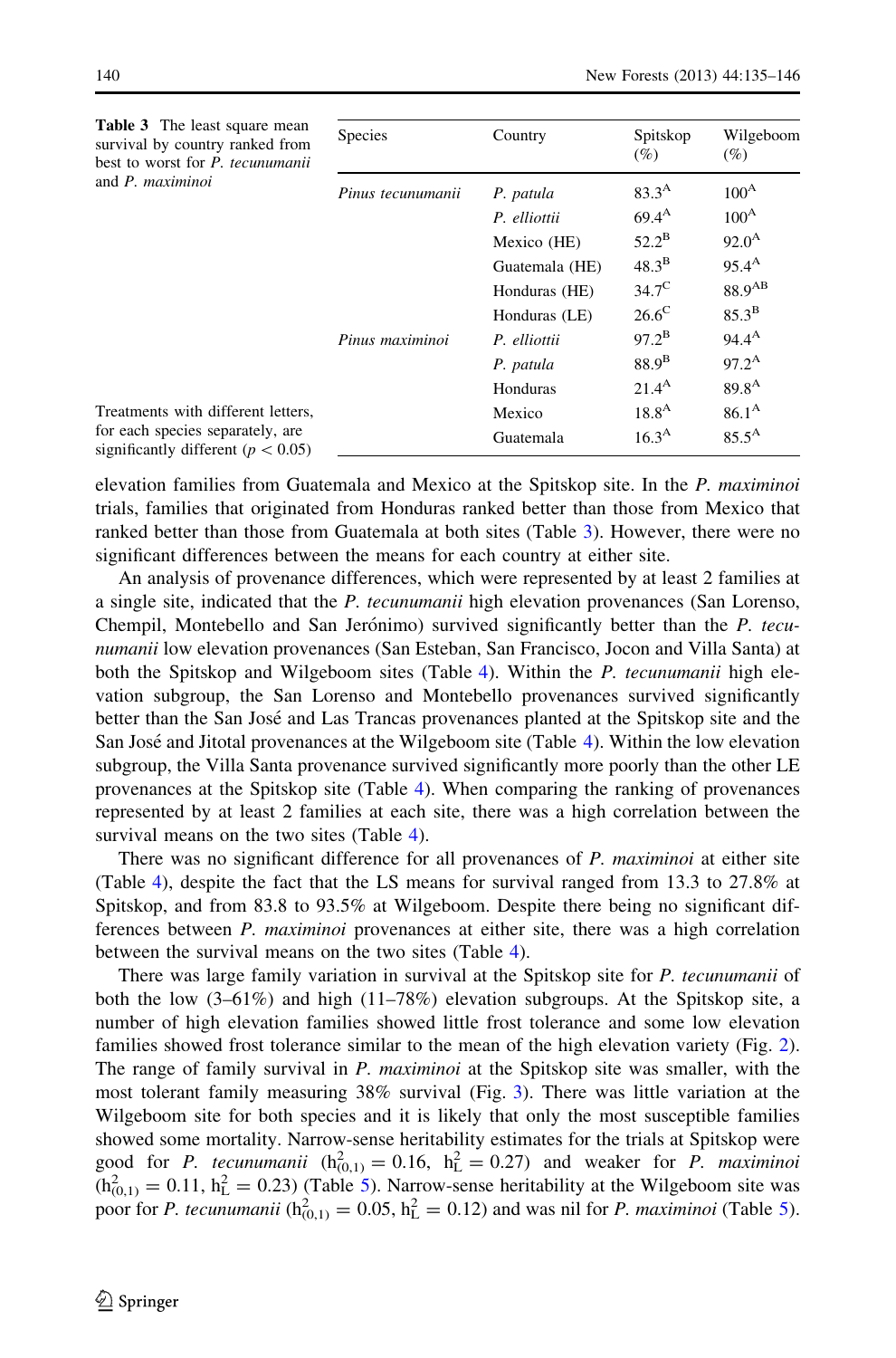<span id="page-5-0"></span>

| <b>Table 3</b> The least square mean<br>survival by country ranked from<br>best to worst for P. tecunumanii<br>and <i>P. maximinoi</i> | Species           | Country                   | Spitskop<br>(%)                  | Wilgeboom<br>(%)                  |
|----------------------------------------------------------------------------------------------------------------------------------------|-------------------|---------------------------|----------------------------------|-----------------------------------|
|                                                                                                                                        | Pinus tecunumanii | P. patula<br>P. elliottii | $83.3^{\rm A}$<br>$69.4^{\rm A}$ | $100^{\rm A}$<br>100 <sup>A</sup> |
|                                                                                                                                        |                   | Mexico (HE)               | $52.2^{\rm B}$                   | $92.0^{A}$                        |
|                                                                                                                                        |                   | Guatemala (HE)            | $48.3^{\mathrm{B}}$              | $95.4^{\rm A}$                    |
|                                                                                                                                        |                   | Honduras (HE)             | $34.7^\circ$                     | 88.9 <sup>AB</sup>                |
|                                                                                                                                        |                   | Honduras (LE)             | $26.6^{\circ}$                   | $85.3^{\mathrm{B}}$               |
|                                                                                                                                        | Pinus maximinoi   | P. elliottii              | $97.2^{\rm B}$                   | $94.4^{\rm A}$                    |
|                                                                                                                                        |                   | P. patula                 | 88.9 <sup>B</sup>                | $97.2^{\rm A}$                    |
|                                                                                                                                        |                   | Honduras                  | $21.4^{\rm A}$                   | $89.8^{A}$                        |
| Treatments with different letters,                                                                                                     |                   | Mexico                    | 18.8 <sup>A</sup>                | $86.1^{A}$                        |
| for each species separately, are<br>significantly different ( $p < 0.05$ )                                                             |                   | Guatemala                 | $16.3^{\rm A}$                   | $85.5^{A}$                        |

elevation families from Guatemala and Mexico at the Spitskop site. In the P. maximinoi trials, families that originated from Honduras ranked better than those from Mexico that ranked better than those from Guatemala at both sites (Table 3). However, there were no significant differences between the means for each country at either site.

An analysis of provenance differences, which were represented by at least 2 families at a single site, indicated that the P. tecunumanii high elevation provenances (San Lorenso, Chempil, Montebello and San Jerónimo) survived significantly better than the P. tecunumanii low elevation provenances (San Esteban, San Francisco, Jocon and Villa Santa) at both the Spitskop and Wilgeboom sites (Table [4\)](#page-6-0). Within the P. tecunumanii high elevation subgroup, the San Lorenso and Montebello provenances survived significantly better than the San Jose´ and Las Trancas provenances planted at the Spitskop site and the San José and Jitotal provenances at the Wilgeboom site (Table [4](#page-6-0)). Within the low elevation subgroup, the Villa Santa provenance survived significantly more poorly than the other LE provenances at the Spitskop site (Table [4](#page-6-0)). When comparing the ranking of provenances represented by at least 2 families at each site, there was a high correlation between the survival means on the two sites (Table [4](#page-6-0)).

There was no significant difference for all provenances of P. maximinoi at either site (Table [4](#page-6-0)), despite the fact that the LS means for survival ranged from 13.3 to 27.8% at Spitskop, and from 83.8 to 93.5% at Wilgeboom. Despite there being no significant differences between P. maximinoi provenances at either site, there was a high correlation between the survival means on the two sites (Table [4\)](#page-6-0).

There was large family variation in survival at the Spitskop site for P. tecunumanii of both the low (3–61%) and high (11–78%) elevation subgroups. At the Spitskop site, a number of high elevation families showed little frost tolerance and some low elevation families showed frost tolerance similar to the mean of the high elevation variety (Fig. [2](#page-7-0)). The range of family survival in P. maximinoi at the Spitskop site was smaller, with the most tolerant family measuring 38% survival (Fig. [3](#page-7-0)). There was little variation at the Wilgeboom site for both species and it is likely that only the most susceptible families showed some mortality. Narrow-sense heritability estimates for the trials at Spitskop were good for *P. tecunumanii* ( $h_{(0,1)}^2 = 0.16$ ,  $h_L^2 = 0.27$ ) and weaker for *P. maximinoi*  $(h_{(0,1)}^2 = 0.11, h_L^2 = 0.23)$  (Table [5\)](#page-8-0). Narrow-sense heritability at the Wilgeboom site was poor for *P. tecunumanii* ( $h_{(0,1)}^2 = 0.05$  $h_{(0,1)}^2 = 0.05$ ,  $h_L^2 = 0.12$ ) and was nil for *P. maximinoi* (Table 5).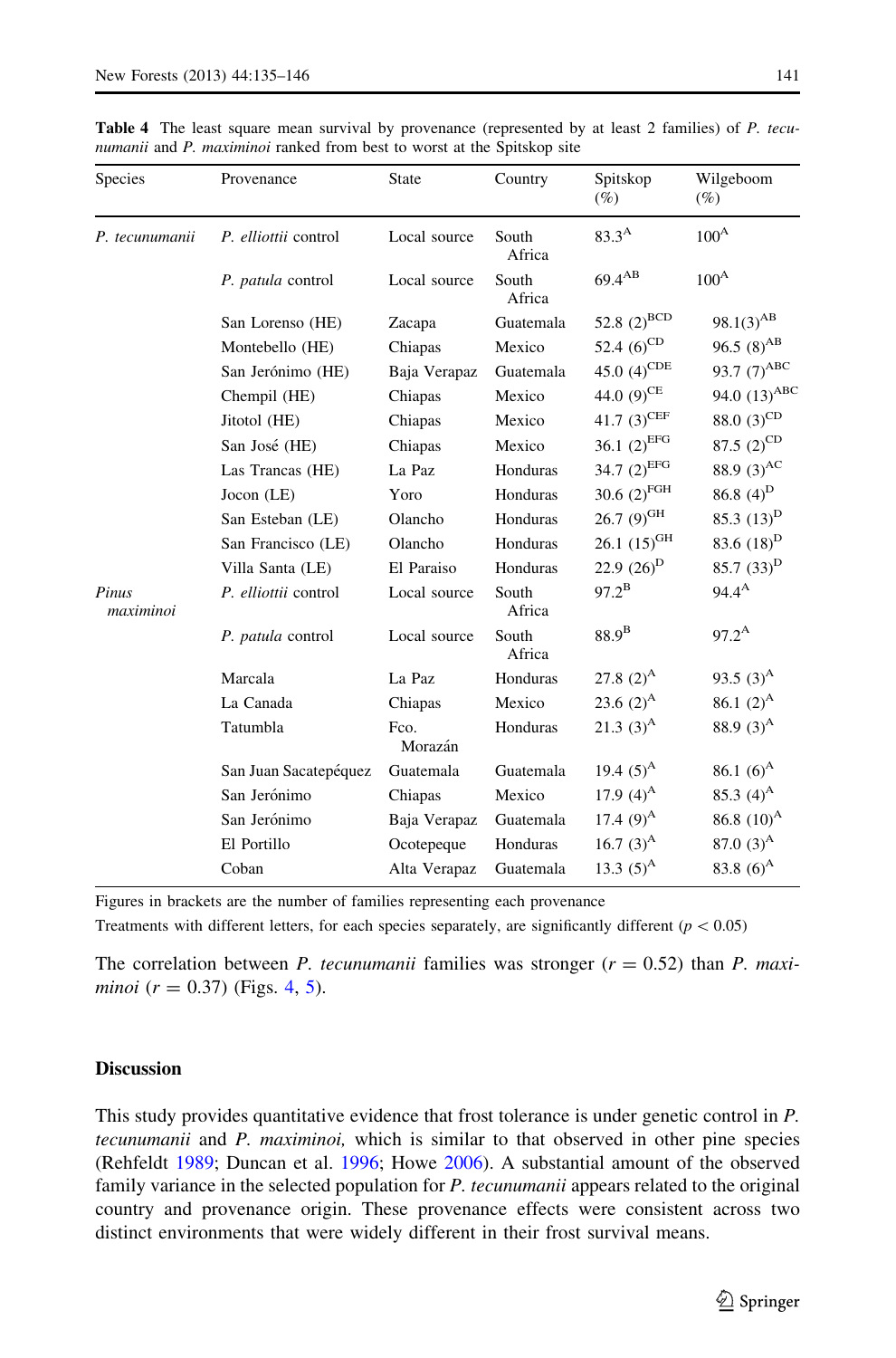| Species            | Provenance            | <b>State</b>    | Country         | Spitskop<br>$(\%)$      | Wilgeboom<br>$(\%)$     |
|--------------------|-----------------------|-----------------|-----------------|-------------------------|-------------------------|
| P. tecunumanii     | P. elliottii control  | Local source    | South<br>Africa | $83.3^{A}$              | $100^{\text{A}}$        |
|                    | P. patula control     | Local source    | South<br>Africa | $69.4^{AB}$             | 100 <sup>A</sup>        |
|                    | San Lorenso (HE)      | Zacapa          | Guatemala       | 52.8 $(2)^{BCD}$        | $98.1(3)^{AB}$          |
|                    | Montebello (HE)       | Chiapas         | Mexico          | 52.4 $(6)^{CD}$         | 96.5 $(8)^{AB}$         |
|                    | San Jerónimo (HE)     | Baja Verapaz    | Guatemala       | 45.0 $(4)^{\text{CDE}}$ | 93.7 (7) <sup>ABC</sup> |
|                    | Chempil (HE)          | Chiapas         | Mexico          | 44.0 $(9)^{CE}$         | 94.0 $(13)^{ABC}$       |
|                    | Jitotol (HE)          | Chiapas         | Mexico          | 41.7 $(3)^{\text{CEF}}$ | $88.0(3)^{CD}$          |
|                    | San José (HE)         | Chiapas         | Mexico          | 36.1 $(2)^{EFG}$        | 87.5 $(2)^{CD}$         |
|                    | Las Trancas (HE)      | La Paz          | Honduras        | 34.7 $(2)^{EFG}$        | 88.9 $(3)^{AC}$         |
|                    | Jocon $(LE)$          | Yoro            | Honduras        | 30.6 $(2)^{FGH}$        | 86.8 $(4)^D$            |
|                    | San Esteban (LE)      | Olancho         | Honduras        | $26.7(9)$ <sup>GH</sup> | 85.3 $(13)^D$           |
|                    | San Francisco (LE)    | Olancho         | Honduras        | $26.1~(15)^{GH}$        | 83.6 $(18)^D$           |
|                    | Villa Santa (LE)      | El Paraiso      | Honduras        | $22.9(26)^D$            | $85.7(33)^D$            |
| Pinus<br>maximinoi | P. elliottii control  | Local source    | South<br>Africa | $97.2^{\rm B}$          | $94.4^{\rm A}$          |
|                    | P. patula control     | Local source    | South<br>Africa | $88.9^{\rm B}$          | $97.2^{\rm A}$          |
|                    | Marcala               | La Paz          | Honduras        | 27.8 $(2)^A$            | 93.5 $(3)^A$            |
|                    | La Canada             | Chiapas         | Mexico          | 23.6 $(2)^A$            | 86.1 $(2)^A$            |
|                    | Tatumbla              | Fco.<br>Morazán | Honduras        | $21.3(3)^A$             | 88.9 $(3)^A$            |
|                    | San Juan Sacatepéquez | Guatemala       | Guatemala       | 19.4 $(5)^A$            | 86.1 $(6)^A$            |
|                    | San Jerónimo          | Chiapas         | Mexico          | 17.9 $(4)^A$            | 85.3 $(4)^A$            |
|                    | San Jerónimo          | Baja Verapaz    | Guatemala       | 17.4 $(9)^A$            | 86.8 $(10)^A$           |
|                    | El Portillo           | Ocotepeque      | Honduras        | 16.7 $(3)^A$            | 87.0 $(3)^A$            |
|                    | Coban                 | Alta Verapaz    | Guatemala       | 13.3 $(5)^A$            | 83.8 $(6)^A$            |

<span id="page-6-0"></span>Table 4 The least square mean survival by provenance (represented by at least 2 families) of P. tecunumanii and P. maximinoi ranked from best to worst at the Spitskop site

Figures in brackets are the number of families representing each provenance

Treatments with different letters, for each species separately, are significantly different ( $p < 0.05$ )

The correlation between P. tecunumanii families was stronger  $(r = 0.52)$  than P. maxi*minoi*  $(r = 0.37)$  (Figs. [4](#page-8-0), [5\)](#page-8-0).

## **Discussion**

This study provides quantitative evidence that frost tolerance is under genetic control in P. tecunumanii and P. maximinoi, which is similar to that observed in other pine species (Rehfeldt [1989;](#page-11-0) Duncan et al. [1996;](#page-10-0) Howe [2006\)](#page-11-0). A substantial amount of the observed family variance in the selected population for P. tecunumanii appears related to the original country and provenance origin. These provenance effects were consistent across two distinct environments that were widely different in their frost survival means.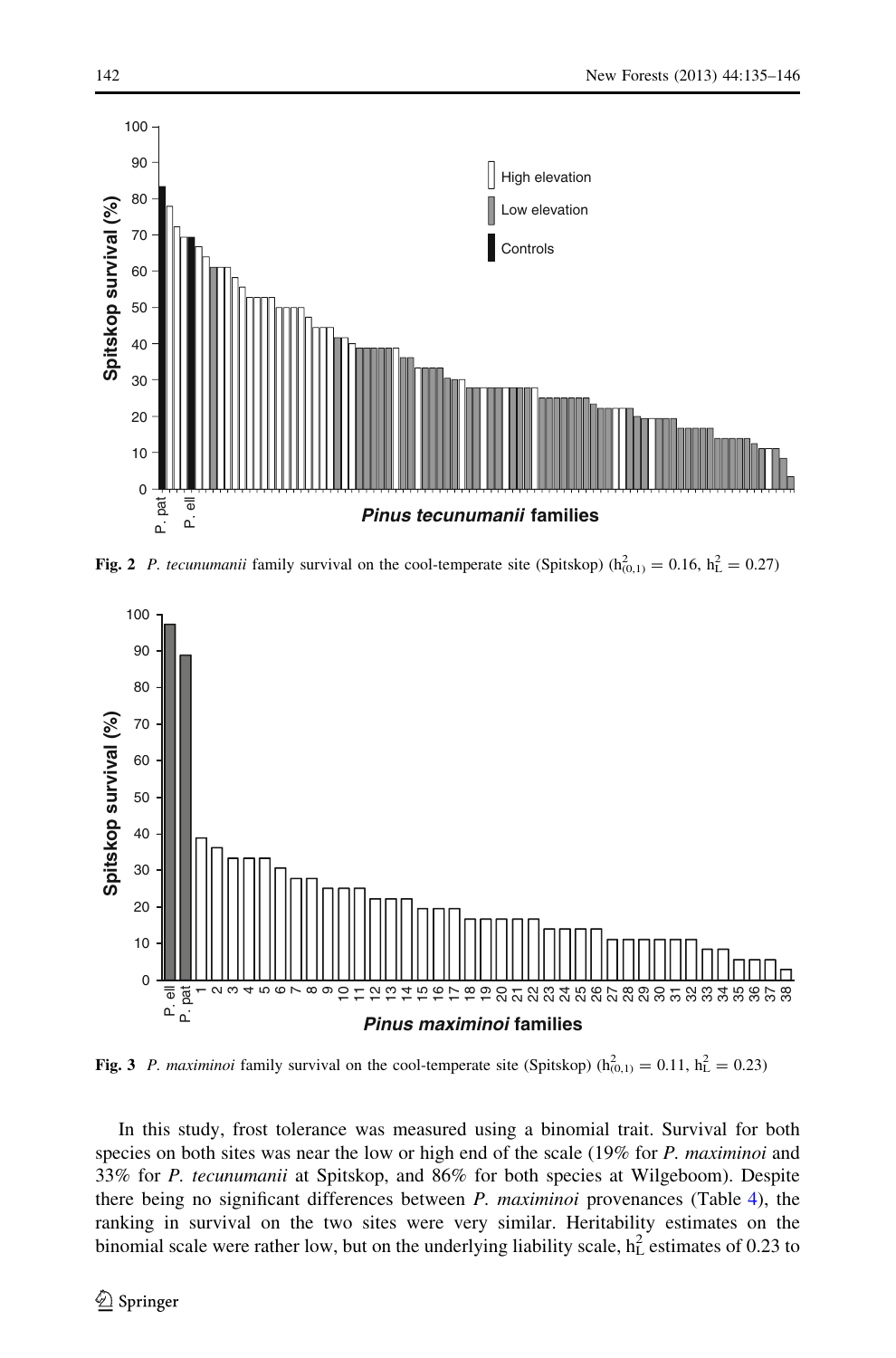<span id="page-7-0"></span>

**Fig. 2** P. tecunumanii family survival on the cool-temperate site (Spitskop)  $(h_{(0,1)}^2 = 0.16, h_L^2 = 0.27)$ 



**Fig. 3** P. maximinoi family survival on the cool-temperate site (Spitskop)  $(h_{(0,1)}^2 = 0.11, h_L^2 = 0.23)$ 

In this study, frost tolerance was measured using a binomial trait. Survival for both species on both sites was near the low or high end of the scale (19% for P. maximinoi and 33% for P. tecunumanii at Spitskop, and 86% for both species at Wilgeboom). Despite there being no significant differences between P. maximinoi provenances (Table [4\)](#page-6-0), the ranking in survival on the two sites were very similar. Heritability estimates on the binomial scale were rather low, but on the underlying liability scale,  $h_L^2$  estimates of 0.23 to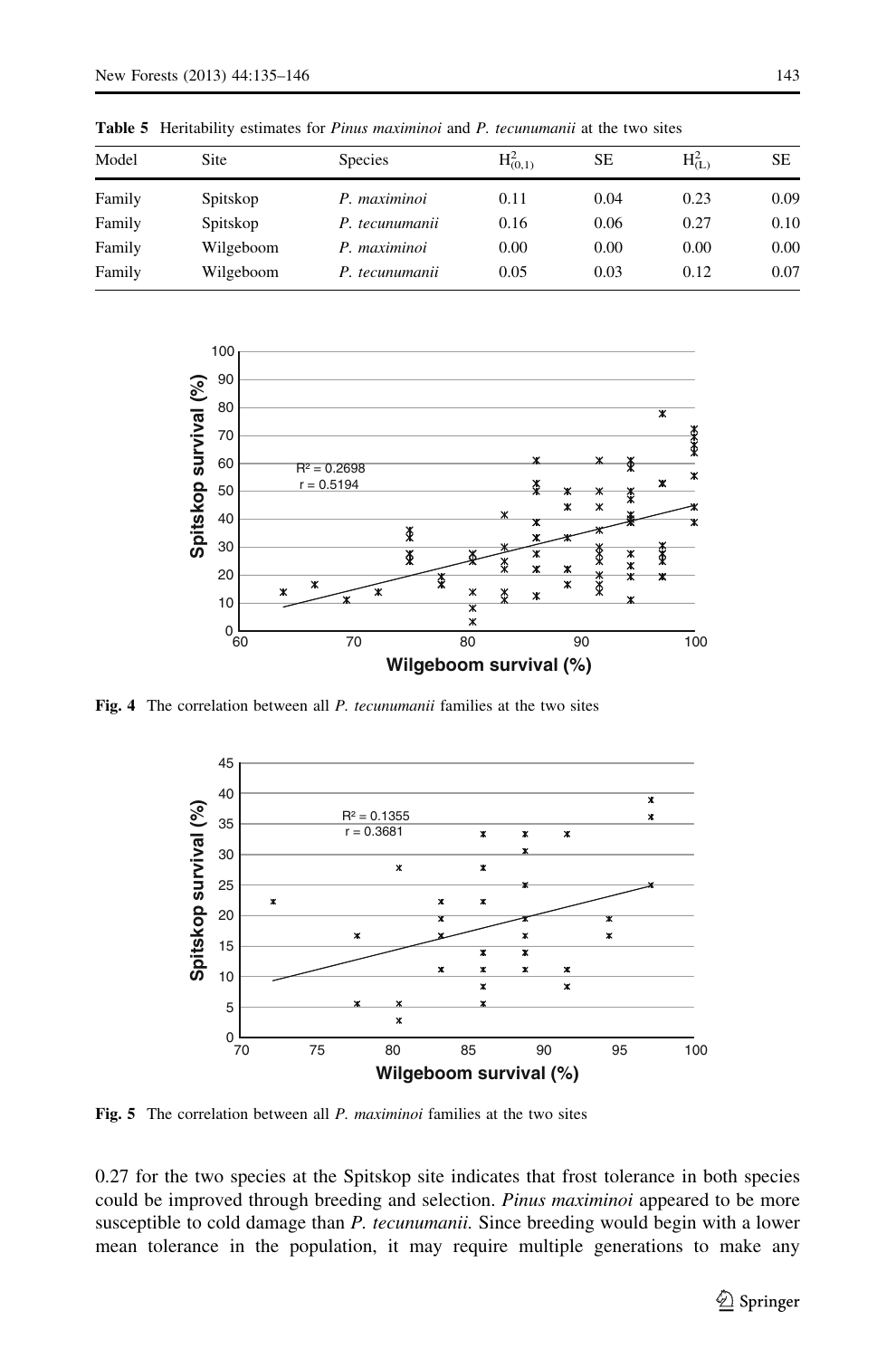| Model  | Site      | <b>Species</b> | $H^2_{(0,1)}$ | <b>SE</b> | $H_{(L)}^2$ | <b>SE</b> |
|--------|-----------|----------------|---------------|-----------|-------------|-----------|
| Family | Spitskop  | P. maximinoi   | 0.11          | 0.04      | 0.23        | 0.09      |
| Family | Spitskop  | P. tecunumanii | 0.16          | 0.06      | 0.27        | 0.10      |
| Family | Wilgeboom | P. maximinoi   | 0.00          | 0.00      | 0.00        | 0.00      |
| Family | Wilgeboom | P. tecunumanii | 0.05          | 0.03      | 0.12        | 0.07      |

<span id="page-8-0"></span>Table 5 Heritability estimates for *Pinus maximinoi* and *P. tecunumanii* at the two sites



Fig. 4 The correlation between all P. tecunumanii families at the two sites



Fig. 5 The correlation between all P. maximinoi families at the two sites

0.27 for the two species at the Spitskop site indicates that frost tolerance in both species could be improved through breeding and selection. *Pinus maximinoi* appeared to be more susceptible to cold damage than P. tecunumanii. Since breeding would begin with a lower mean tolerance in the population, it may require multiple generations to make any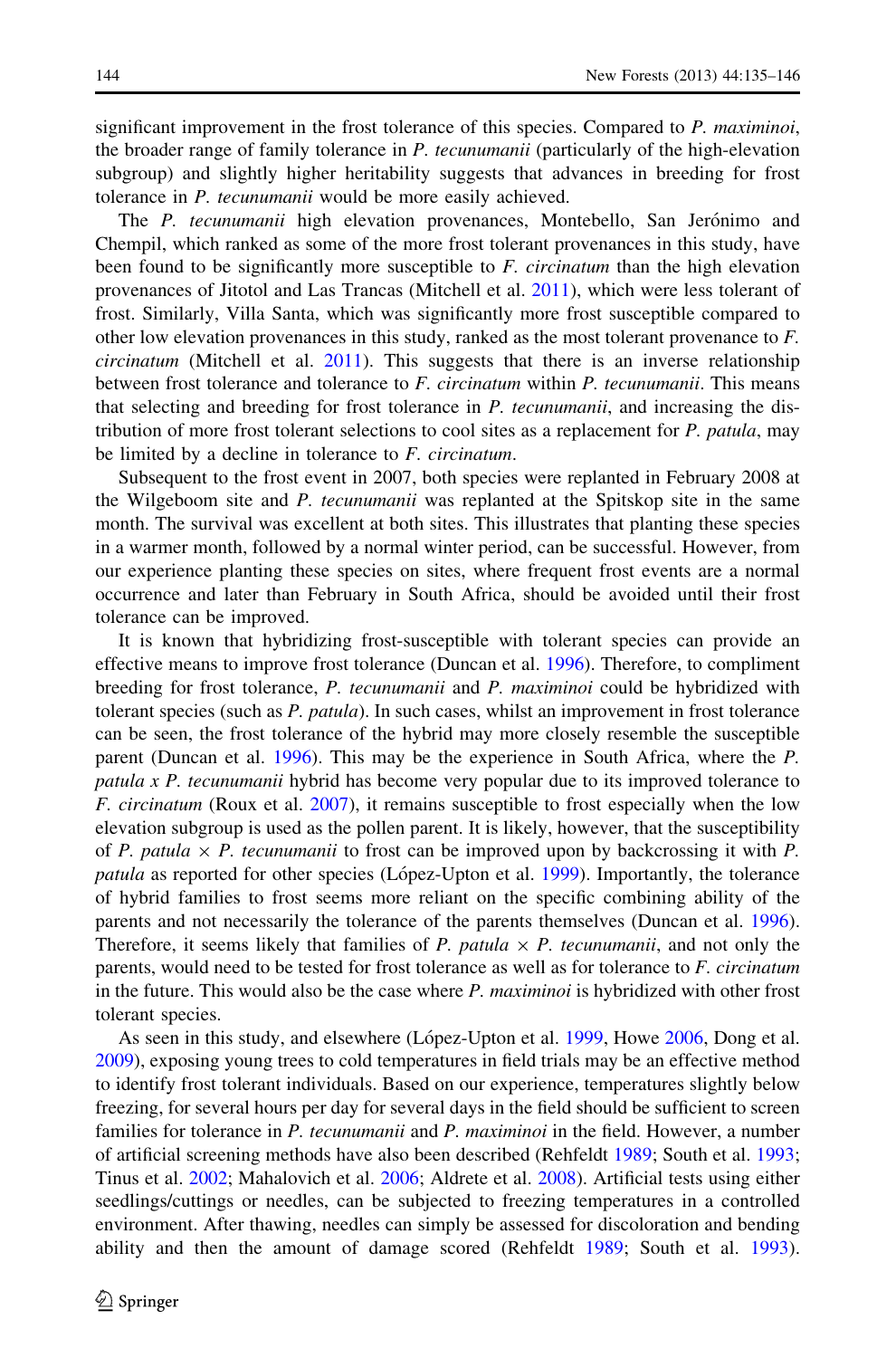significant improvement in the frost tolerance of this species. Compared to P. maximinoi, the broader range of family tolerance in P. tecunumanii (particularly of the high-elevation subgroup) and slightly higher heritability suggests that advances in breeding for frost tolerance in P. tecunumanii would be more easily achieved.

The P. tecunumanii high elevation provenances, Montebello, San Jerónimo and Chempil, which ranked as some of the more frost tolerant provenances in this study, have been found to be significantly more susceptible to F. circinatum than the high elevation provenances of Jitotol and Las Trancas (Mitchell et al. [2011\)](#page-11-0), which were less tolerant of frost. Similarly, Villa Santa, which was significantly more frost susceptible compared to other low elevation provenances in this study, ranked as the most tolerant provenance to  $F$ .  $circinatum$  (Mitchell et al. [2011](#page-11-0)). This suggests that there is an inverse relationship between frost tolerance and tolerance to  $F$ . *circinatum* within  $P$ . *tecunumanii*. This means that selecting and breeding for frost tolerance in  $P$ . tecunumanii, and increasing the distribution of more frost tolerant selections to cool sites as a replacement for P. patula, may be limited by a decline in tolerance to  $F$ . *circinatum*.

Subsequent to the frost event in 2007, both species were replanted in February 2008 at the Wilgeboom site and P. tecunumanii was replanted at the Spitskop site in the same month. The survival was excellent at both sites. This illustrates that planting these species in a warmer month, followed by a normal winter period, can be successful. However, from our experience planting these species on sites, where frequent frost events are a normal occurrence and later than February in South Africa, should be avoided until their frost tolerance can be improved.

It is known that hybridizing frost-susceptible with tolerant species can provide an effective means to improve frost tolerance (Duncan et al. [1996\)](#page-10-0). Therefore, to compliment breeding for frost tolerance, P. tecunumanii and P. maximinoi could be hybridized with tolerant species (such as P. patula). In such cases, whilst an improvement in frost tolerance can be seen, the frost tolerance of the hybrid may more closely resemble the susceptible parent (Duncan et al. [1996\)](#page-10-0). This may be the experience in South Africa, where the P. patula x P. tecunumanii hybrid has become very popular due to its improved tolerance to F. circinatum (Roux et al. [2007](#page-11-0)), it remains susceptible to frost especially when the low elevation subgroup is used as the pollen parent. It is likely, however, that the susceptibility of P. patula  $\times$  P. tecunumanii to frost can be improved upon by backcrossing it with P. patula as reported for other species (López-Upton et al. [1999](#page-11-0)). Importantly, the tolerance of hybrid families to frost seems more reliant on the specific combining ability of the parents and not necessarily the tolerance of the parents themselves (Duncan et al. [1996](#page-10-0)). Therefore, it seems likely that families of P. patula  $\times$  P. tecunumanii, and not only the parents, would need to be tested for frost tolerance as well as for tolerance to  $F$ . *circinatum* in the future. This would also be the case where  $P$ . maximinoi is hybridized with other frost tolerant species.

As seen in this study, and elsewhere (López-Upton et al. [1999](#page-11-0), Howe [2006](#page-11-0), Dong et al. [2009\)](#page-10-0), exposing young trees to cold temperatures in field trials may be an effective method to identify frost tolerant individuals. Based on our experience, temperatures slightly below freezing, for several hours per day for several days in the field should be sufficient to screen families for tolerance in *P. tecunumanii* and *P. maximinoi* in the field. However, a number of artificial screening methods have also been described (Rehfeldt [1989;](#page-11-0) South et al. [1993;](#page-11-0) Tinus et al. [2002;](#page-11-0) Mahalovich et al. [2006;](#page-11-0) Aldrete et al. [2008\)](#page-10-0). Artificial tests using either seedlings/cuttings or needles, can be subjected to freezing temperatures in a controlled environment. After thawing, needles can simply be assessed for discoloration and bending ability and then the amount of damage scored (Rehfeldt [1989](#page-11-0); South et al. [1993](#page-11-0)).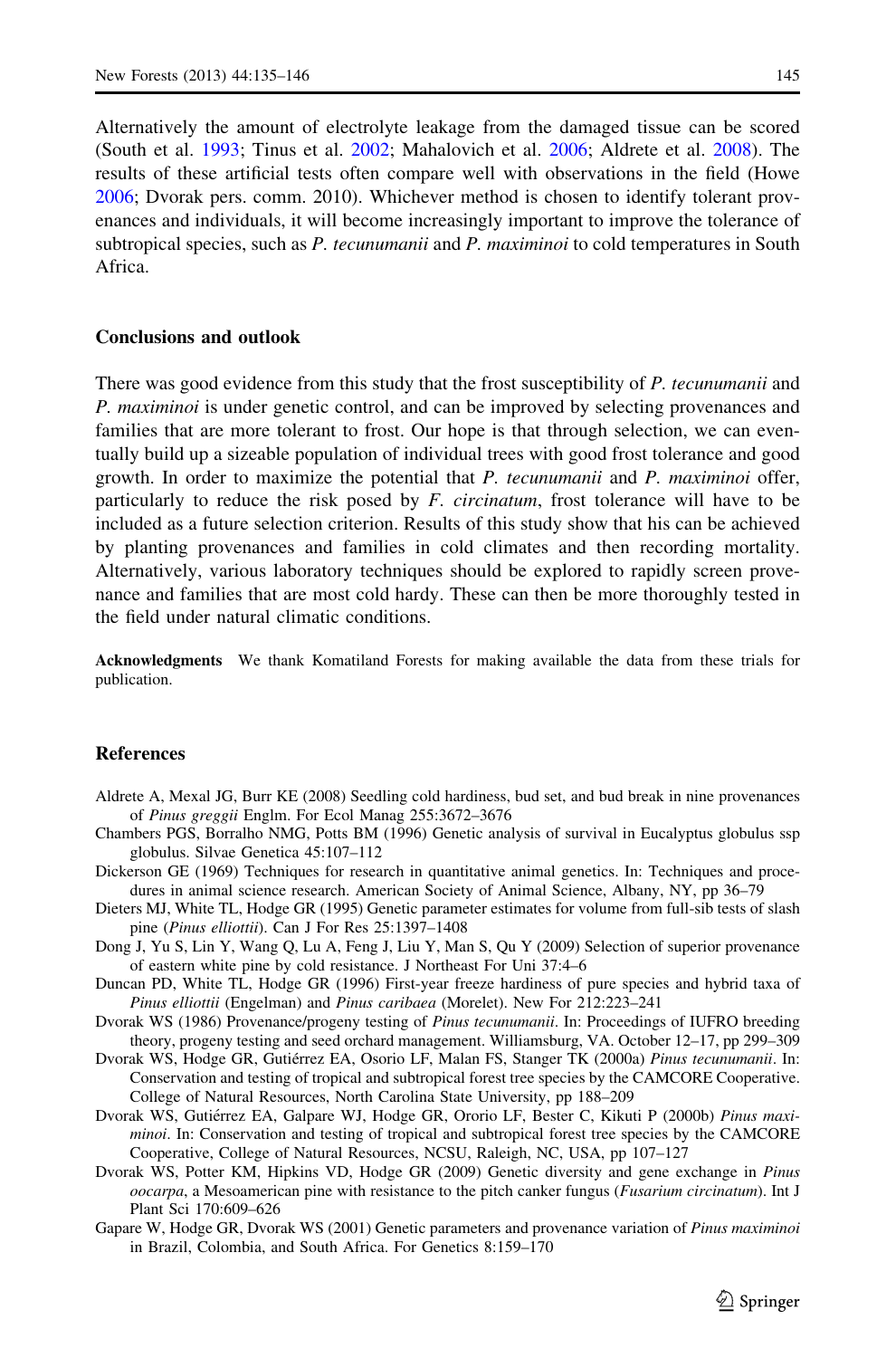<span id="page-10-0"></span>Alternatively the amount of electrolyte leakage from the damaged tissue can be scored (South et al. [1993;](#page-11-0) Tinus et al. [2002](#page-11-0); Mahalovich et al. [2006](#page-11-0); Aldrete et al. 2008). The results of these artificial tests often compare well with observations in the field (Howe [2006;](#page-11-0) Dvorak pers. comm. 2010). Whichever method is chosen to identify tolerant provenances and individuals, it will become increasingly important to improve the tolerance of subtropical species, such as P. tecunumanii and P. maximinoi to cold temperatures in South Africa.

### Conclusions and outlook

There was good evidence from this study that the frost susceptibility of P. tecunumanii and P. *maximinoi* is under genetic control, and can be improved by selecting provenances and families that are more tolerant to frost. Our hope is that through selection, we can eventually build up a sizeable population of individual trees with good frost tolerance and good growth. In order to maximize the potential that P. tecunumanii and P. maximinoi offer, particularly to reduce the risk posed by  $F$ . *circinatum*, frost tolerance will have to be included as a future selection criterion. Results of this study show that his can be achieved by planting provenances and families in cold climates and then recording mortality. Alternatively, various laboratory techniques should be explored to rapidly screen provenance and families that are most cold hardy. These can then be more thoroughly tested in the field under natural climatic conditions.

Acknowledgments We thank Komatiland Forests for making available the data from these trials for publication.

#### **References**

- Aldrete A, Mexal JG, Burr KE (2008) Seedling cold hardiness, bud set, and bud break in nine provenances of Pinus greggii Englm. For Ecol Manag 255:3672–3676
- Chambers PGS, Borralho NMG, Potts BM (1996) Genetic analysis of survival in Eucalyptus globulus ssp globulus. Silvae Genetica 45:107–112
- Dickerson GE (1969) Techniques for research in quantitative animal genetics. In: Techniques and procedures in animal science research. American Society of Animal Science, Albany, NY, pp 36–79
- Dieters MJ, White TL, Hodge GR (1995) Genetic parameter estimates for volume from full-sib tests of slash pine (Pinus elliottii). Can J For Res 25:1397–1408
- Dong J, Yu S, Lin Y, Wang Q, Lu A, Feng J, Liu Y, Man S, Qu Y (2009) Selection of superior provenance of eastern white pine by cold resistance. J Northeast For Uni 37:4–6
- Duncan PD, White TL, Hodge GR (1996) First-year freeze hardiness of pure species and hybrid taxa of Pinus elliottii (Engelman) and Pinus caribaea (Morelet). New For 212:223–241
- Dvorak WS (1986) Provenance/progeny testing of Pinus tecunumanii. In: Proceedings of IUFRO breeding theory, progeny testing and seed orchard management. Williamsburg, VA. October 12–17, pp 299–309
- Dvorak WS, Hodge GR, Gutiérrez EA, Osorio LF, Malan FS, Stanger TK (2000a) Pinus tecunumanii. In: Conservation and testing of tropical and subtropical forest tree species by the CAMCORE Cooperative. College of Natural Resources, North Carolina State University, pp 188–209
- Dvorak WS, Gutiérrez EA, Galpare WJ, Hodge GR, Ororio LF, Bester C, Kikuti P (2000b) Pinus maximinoi. In: Conservation and testing of tropical and subtropical forest tree species by the CAMCORE Cooperative, College of Natural Resources, NCSU, Raleigh, NC, USA, pp 107–127
- Dvorak WS, Potter KM, Hipkins VD, Hodge GR (2009) Genetic diversity and gene exchange in Pinus oocarpa, a Mesoamerican pine with resistance to the pitch canker fungus (Fusarium circinatum). Int J Plant Sci 170:609–626
- Gapare W, Hodge GR, Dvorak WS (2001) Genetic parameters and provenance variation of Pinus maximinoi in Brazil, Colombia, and South Africa. For Genetics 8:159–170